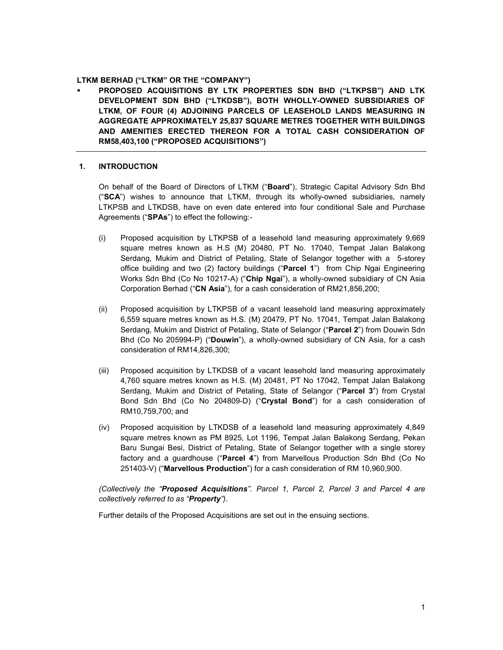## LTKM BERHAD ("LTKM" OR THE "COMPANY")

 PROPOSED ACQUISITIONS BY LTK PROPERTIES SDN BHD ("LTKPSB") AND LTK DEVELOPMENT SDN BHD ("LTKDSB"), BOTH WHOLLY-OWNED SUBSIDIARIES OF LTKM, OF FOUR (4) ADJOINING PARCELS OF LEASEHOLD LANDS MEASURING IN AGGREGATE APPROXIMATELY 25,837 SQUARE METRES TOGETHER WITH BUILDINGS AND AMENITIES ERECTED THEREON FOR A TOTAL CASH CONSIDERATION OF RM58,403,100 ("PROPOSED ACQUISITIONS")

## 1. INTRODUCTION

On behalf of the Board of Directors of LTKM ("Board"), Strategic Capital Advisory Sdn Bhd  $("SCA")$  wishes to announce that LTKM, through its wholly-owned subsidiaries, namely LTKPSB and LTKDSB, have on even date entered into four conditional Sale and Purchase Agreements ("SPAs") to effect the following:-

- (i) Proposed acquisition by LTKPSB of a leasehold land measuring approximately 9,669 square metres known as H.S (M) 20480, PT No. 17040, Tempat Jalan Balakong Serdang, Mukim and District of Petaling, State of Selangor together with a 5-storey office building and two (2) factory buildings ("Parcel 1") from Chip Ngai Engineering Works Sdn Bhd (Co No 10217-A) ("Chip Ngai"), a wholly-owned subsidiary of CN Asia Corporation Berhad ("CN Asia"), for a cash consideration of RM21,856,200;
- (ii) Proposed acquisition by LTKPSB of a vacant leasehold land measuring approximately 6,559 square metres known as H.S. (M) 20479, PT No. 17041, Tempat Jalan Balakong Serdang, Mukim and District of Petaling, State of Selangor ("Parcel 2") from Douwin Sdn Bhd (Co No 205994-P) ("Douwin"), a wholly-owned subsidiary of CN Asia, for a cash consideration of RM14,826,300;
- (iii) Proposed acquisition by LTKDSB of a vacant leasehold land measuring approximately 4,760 square metres known as H.S. (M) 20481, PT No 17042, Tempat Jalan Balakong Serdang, Mukim and District of Petaling, State of Selangor ("Parcel 3") from Crystal Bond Sdn Bhd (Co No 204809-D) ("Crystal Bond") for a cash consideration of RM10,759,700; and
- (iv) Proposed acquisition by LTKDSB of a leasehold land measuring approximately 4,849 square metres known as PM 8925, Lot 1196, Tempat Jalan Balakong Serdang, Pekan Baru Sungai Besi, District of Petaling, State of Selangor together with a single storey factory and a guardhouse ("Parcel 4") from Marvellous Production Sdn Bhd (Co No 251403-V) ("Marvellous Production") for a cash consideration of RM 10,960,900.

(Collectively the "Proposed Acquisitions". Parcel 1, Parcel 2, Parcel 3 and Parcel 4 are collectively referred to as "**Property**").

Further details of the Proposed Acquisitions are set out in the ensuing sections.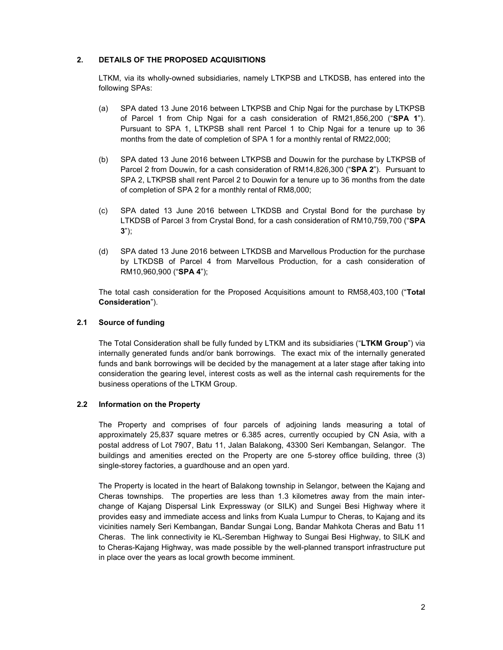## 2. DETAILS OF THE PROPOSED ACQUISITIONS

LTKM, via its wholly-owned subsidiaries, namely LTKPSB and LTKDSB, has entered into the following SPAs:

- (a) SPA dated 13 June 2016 between LTKPSB and Chip Ngai for the purchase by LTKPSB of Parcel 1 from Chip Ngai for a cash consideration of RM21,856,200 ("SPA 1"). Pursuant to SPA 1, LTKPSB shall rent Parcel 1 to Chip Ngai for a tenure up to 36 months from the date of completion of SPA 1 for a monthly rental of RM22,000;
- (b) SPA dated 13 June 2016 between LTKPSB and Douwin for the purchase by LTKPSB of Parcel 2 from Douwin, for a cash consideration of RM14,826,300 ("SPA 2"). Pursuant to SPA 2, LTKPSB shall rent Parcel 2 to Douwin for a tenure up to 36 months from the date of completion of SPA 2 for a monthly rental of RM8,000;
- (c) SPA dated 13 June 2016 between LTKDSB and Crystal Bond for the purchase by LTKDSB of Parcel 3 from Crystal Bond, for a cash consideration of RM10,759,700 ("SPA  $3")$ ;
- (d) SPA dated 13 June 2016 between LTKDSB and Marvellous Production for the purchase by LTKDSB of Parcel 4 from Marvellous Production, for a cash consideration of RM10,960,900 ("SPA 4");

The total cash consideration for the Proposed Acquisitions amount to RM58,403,100 ("Total Consideration").

### 2.1 Source of funding

The Total Consideration shall be fully funded by LTKM and its subsidiaries ("LTKM Group") via internally generated funds and/or bank borrowings. The exact mix of the internally generated funds and bank borrowings will be decided by the management at a later stage after taking into consideration the gearing level, interest costs as well as the internal cash requirements for the business operations of the LTKM Group.

# 2.2 Information on the Property

The Property and comprises of four parcels of adjoining lands measuring a total of approximately 25,837 square metres or 6.385 acres, currently occupied by CN Asia, with a postal address of Lot 7907, Batu 11, Jalan Balakong, 43300 Seri Kembangan, Selangor. The buildings and amenities erected on the Property are one 5-storey office building, three (3) single-storey factories, a guardhouse and an open yard.

The Property is located in the heart of Balakong township in Selangor, between the Kajang and Cheras townships. The properties are less than 1.3 kilometres away from the main interchange of Kajang Dispersal Link Expressway (or SILK) and Sungei Besi Highway where it provides easy and immediate access and links from Kuala Lumpur to Cheras, to Kajang and its vicinities namely Seri Kembangan, Bandar Sungai Long, Bandar Mahkota Cheras and Batu 11 Cheras. The link connectivity ie KL-Seremban Highway to Sungai Besi Highway, to SILK and to Cheras-Kajang Highway, was made possible by the well-planned transport infrastructure put in place over the years as local growth become imminent.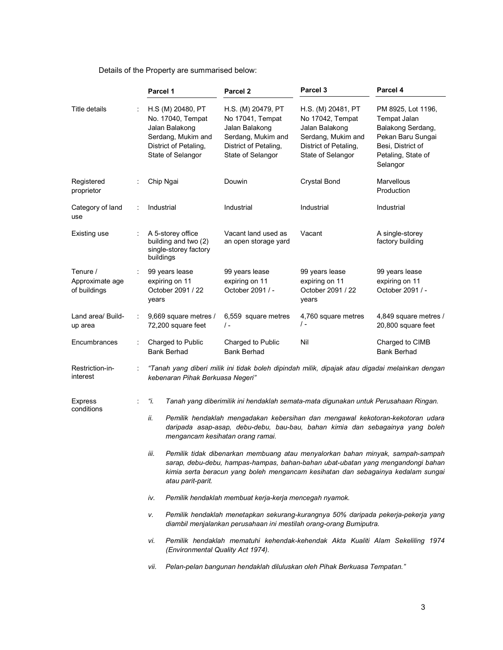|                                             | Parcel 1                                                                                                                                                                                                   | Parcel <sub>2</sub>                                                                                                          | Parcel <sub>3</sub>                                                                                                          | Parcel 4                                                                                                                            |  |  |
|---------------------------------------------|------------------------------------------------------------------------------------------------------------------------------------------------------------------------------------------------------------|------------------------------------------------------------------------------------------------------------------------------|------------------------------------------------------------------------------------------------------------------------------|-------------------------------------------------------------------------------------------------------------------------------------|--|--|
| Title details                               | H.S (M) 20480, PT<br>No. 17040, Tempat<br>Jalan Balakong<br>Serdang, Mukim and<br>District of Petaling,<br>State of Selangor                                                                               | H.S. (M) 20479, PT<br>No 17041, Tempat<br>Jalan Balakong<br>Serdang, Mukim and<br>District of Petaling,<br>State of Selangor | H.S. (M) 20481, PT<br>No 17042, Tempat<br>Jalan Balakong<br>Serdang, Mukim and<br>District of Petaling,<br>State of Selangor | PM 8925, Lot 1196,<br>Tempat Jalan<br>Balakong Serdang,<br>Pekan Baru Sungai<br>Besi, District of<br>Petaling, State of<br>Selangor |  |  |
| Registered<br>proprietor                    | Chip Ngai                                                                                                                                                                                                  | Douwin                                                                                                                       | <b>Crystal Bond</b>                                                                                                          | Marvellous<br>Production                                                                                                            |  |  |
| Category of land<br>use                     | Industrial                                                                                                                                                                                                 | Industrial                                                                                                                   | Industrial                                                                                                                   | Industrial                                                                                                                          |  |  |
| Existing use                                | A 5-storey office<br>building and two (2)<br>single-storey factory<br>buildings                                                                                                                            | Vacant land used as<br>an open storage yard                                                                                  | Vacant                                                                                                                       | A single-storey<br>factory building                                                                                                 |  |  |
| Tenure /<br>Approximate age<br>of buildings | 99 years lease<br>expiring on 11<br>October 2091 / 22<br>years                                                                                                                                             | 99 years lease<br>expiring on 11<br>October 2091 / -                                                                         | 99 years lease<br>expiring on 11<br>October 2091 / 22<br>years                                                               | 99 years lease<br>expiring on 11<br>October 2091 / -                                                                                |  |  |
| Land area/ Build-<br>up area                | 9,669 square metres /<br>72,200 square feet                                                                                                                                                                | 6,559 square metres<br>$\prime$ -                                                                                            | 4,760 square metres<br>/ -                                                                                                   | 4,849 square metres /<br>20,800 square feet                                                                                         |  |  |
| Encumbrances                                | Charged to Public<br><b>Bank Berhad</b>                                                                                                                                                                    | Charged to Public<br><b>Bank Berhad</b>                                                                                      | Nil                                                                                                                          | Charged to CIMB<br><b>Bank Berhad</b>                                                                                               |  |  |
| Restriction-in-<br>interest                 | "Tanah yang diberi milik ini tidak boleh dipindah milik, dipajak atau digadai melainkan dengan<br>kebenaran Pihak Berkuasa Negeri"                                                                         |                                                                                                                              |                                                                                                                              |                                                                                                                                     |  |  |
| <b>Express</b><br>conditions                | "і.                                                                                                                                                                                                        | Tanah yang diberimilik ini hendaklah semata-mata digunakan untuk Perusahaan Ringan.                                          |                                                                                                                              |                                                                                                                                     |  |  |
|                                             | ii.<br>Pemilik hendaklah mengadakan kebersihan dan mengawal kekotoran-kekotoran udara<br>daripada asap-asap, debu-debu, bau-bau, bahan kimia dan sebagainya yang boleh<br>mengancam kesihatan orang ramai. |                                                                                                                              |                                                                                                                              |                                                                                                                                     |  |  |
|                                             | iii.<br>Pemilik tidak dibenarkan membuang atau menyalorkan bahan minyak, sampah-sampah<br>sarap, debu-debu, hampas-hampas, bahan-bahan ubat-ubatan yang mengandongi bahan                                  |                                                                                                                              |                                                                                                                              |                                                                                                                                     |  |  |

### Details of the Property are summarised below:

kimia serta beracun yang boleh mengancam kesihatan dan sebagainya kedalam sungai atau parit-parit.

iv. Pemilik hendaklah membuat kerja-kerja mencegah nyamok.

v. Pemilik hendaklah menetapkan sekurang-kurangnya 50% daripada pekerja-pekerja yang diambil menjalankan perusahaan ini mestilah orang-orang Bumiputra.

vi. Pemilik hendaklah mematuhi kehendak-kehendak Akta Kualiti Alam Sekeliling 1974 (Environmental Quality Act 1974).

vii. Pelan-pelan bangunan hendaklah diluluskan oleh Pihak Berkuasa Tempatan."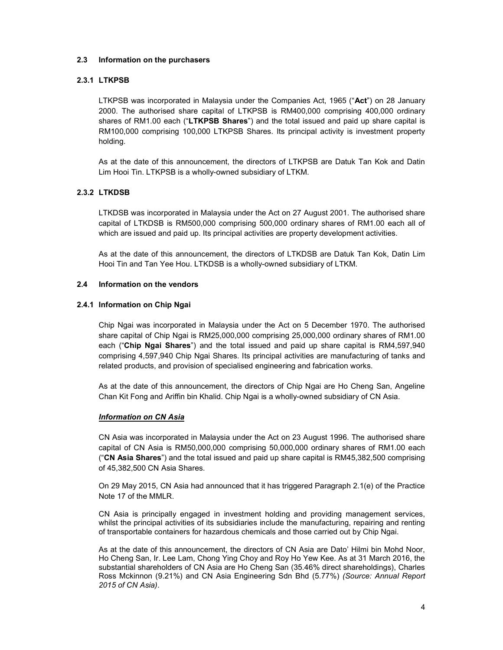### 2.3 Information on the purchasers

# 2.3.1 LTKPSB

LTKPSB was incorporated in Malaysia under the Companies Act, 1965 ("Act") on 28 January 2000. The authorised share capital of LTKPSB is RM400,000 comprising 400,000 ordinary shares of RM1.00 each ("LTKPSB Shares") and the total issued and paid up share capital is RM100,000 comprising 100,000 LTKPSB Shares. Its principal activity is investment property holding.

As at the date of this announcement, the directors of LTKPSB are Datuk Tan Kok and Datin Lim Hooi Tin. LTKPSB is a wholly-owned subsidiary of LTKM.

# 2.3.2 LTKDSB

LTKDSB was incorporated in Malaysia under the Act on 27 August 2001. The authorised share capital of LTKDSB is RM500,000 comprising 500,000 ordinary shares of RM1.00 each all of which are issued and paid up. Its principal activities are property development activities.

As at the date of this announcement, the directors of LTKDSB are Datuk Tan Kok, Datin Lim Hooi Tin and Tan Yee Hou. LTKDSB is a wholly-owned subsidiary of LTKM.

### 2.4 Information on the vendors

### 2.4.1 Information on Chip Ngai

Chip Ngai was incorporated in Malaysia under the Act on 5 December 1970. The authorised share capital of Chip Ngai is RM25,000,000 comprising 25,000,000 ordinary shares of RM1.00 each ("Chip Ngai Shares") and the total issued and paid up share capital is RM4,597,940 comprising 4,597,940 Chip Ngai Shares. Its principal activities are manufacturing of tanks and related products, and provision of specialised engineering and fabrication works.

As at the date of this announcement, the directors of Chip Ngai are Ho Cheng San, Angeline Chan Kit Fong and Ariffin bin Khalid. Chip Ngai is a wholly-owned subsidiary of CN Asia.

### Information on CN Asia

CN Asia was incorporated in Malaysia under the Act on 23 August 1996. The authorised share capital of CN Asia is RM50,000,000 comprising 50,000,000 ordinary shares of RM1.00 each ("CN Asia Shares") and the total issued and paid up share capital is RM45,382,500 comprising of 45,382,500 CN Asia Shares.

On 29 May 2015, CN Asia had announced that it has triggered Paragraph 2.1(e) of the Practice Note 17 of the MMLR.

CN Asia is principally engaged in investment holding and providing management services, whilst the principal activities of its subsidiaries include the manufacturing, repairing and renting of transportable containers for hazardous chemicals and those carried out by Chip Ngai.

As at the date of this announcement, the directors of CN Asia are Dato' Hilmi bin Mohd Noor, Ho Cheng San, Ir. Lee Lam, Chong Ying Choy and Roy Ho Yew Kee. As at 31 March 2016, the substantial shareholders of CN Asia are Ho Cheng San (35.46% direct shareholdings), Charles Ross Mckinnon (9.21%) and CN Asia Engineering Sdn Bhd (5.77%) (Source: Annual Report 2015 of CN Asia).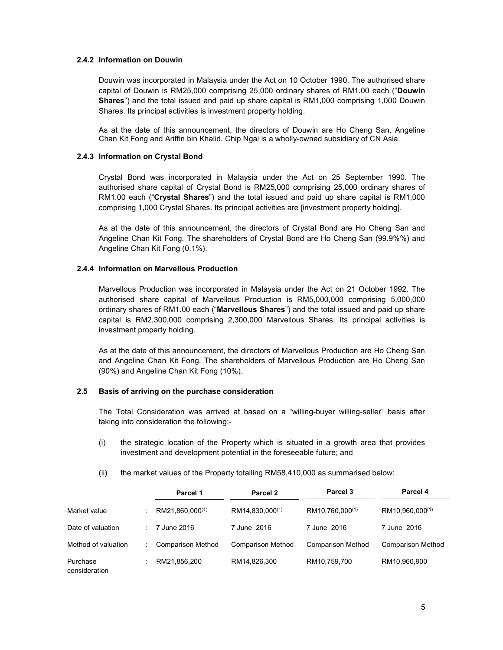### 2.4.2 Information on Douwin

Douwin was incorporated in Malaysia under the Act on 10 October 1990. The authorised share capital of Douwin is RM25,000 comprising 25,000 ordinary shares of RM1.00 each ("Douwin Shares") and the total issued and paid up share capital is RM1,000 comprising 1,000 Douwin Shares. Its principal activities is investment property holding.

As at the date of this announcement, the directors of Douwin are Ho Cheng San, Angeline Chan Kit Fong and Ariffin bin Khalid. Chip Ngai is a wholly-owned subsidiary of CN Asia.

### 2.4.3 Information on Crystal Bond

Crystal Bond was incorporated in Malaysia under the Act on 25 September 1990. The authorised share capital of Crystal Bond is RM25,000 comprising 25,000 ordinary shares of RM1.00 each ("Crystal Shares") and the total issued and paid up share capital is RM1,000 comprising 1,000 Crystal Shares. Its principal activities are [investment property holding].

As at the date of this announcement, the directors of Crystal Bond are Ho Cheng San and Angeline Chan Kit Fong. The shareholders of Crystal Bond are Ho Cheng San (99.9%%) and Angeline Chan Kit Fong (0.1%).

### 2.4.4 Information on Marvellous Production

Marvellous Production was incorporated in Malaysia under the Act on 21 October 1992. The authorised share capital of Marvellous Production is RM5,000,000 comprising 5,000,000 ordinary shares of RM1.00 each ("Marvellous Shares") and the total issued and paid up share capital is RM2,300,000 comprising 2,300,000 Marvellous Shares. Its principal activities is investment property holding.

As at the date of this announcement, the directors of Marvellous Production are Ho Cheng San and Angeline Chan Kit Fong. The shareholders of Marvellous Production are Ho Cheng San (90%) and Angeline Chan Kit Fong (10%).

# 2.5 Basis of arriving on the purchase consideration

The Total Consideration was arrived at based on a "willing-buyer willing-seller" basis after taking into consideration the following:-

- (i) the strategic location of the Property which is situated in a growth area that provides investment and development potential in the foreseeable future; and
- (ii) the market values of the Property totalling RM58,410,000 as summarised below:

|                           | Parcel 1                    | Parcel 2                    | Parcel <sub>3</sub>         | Parcel 4                    |
|---------------------------|-----------------------------|-----------------------------|-----------------------------|-----------------------------|
| Market value              | RM21,860,000 <sup>(1)</sup> | RM14,830,000 <sup>(1)</sup> | RM10,760,000 <sup>(1)</sup> | RM10,960,000 <sup>(1)</sup> |
| Date of valuation         | 7 June 2016                 | 7 June 2016                 | 7 June 2016                 | 7 June 2016                 |
| Method of valuation       | <b>Comparison Method</b>    | <b>Comparison Method</b>    | <b>Comparison Method</b>    | <b>Comparison Method</b>    |
| Purchase<br>consideration | RM21,856,200                | RM14,826,300                | RM10,759,700                | RM10,960,900                |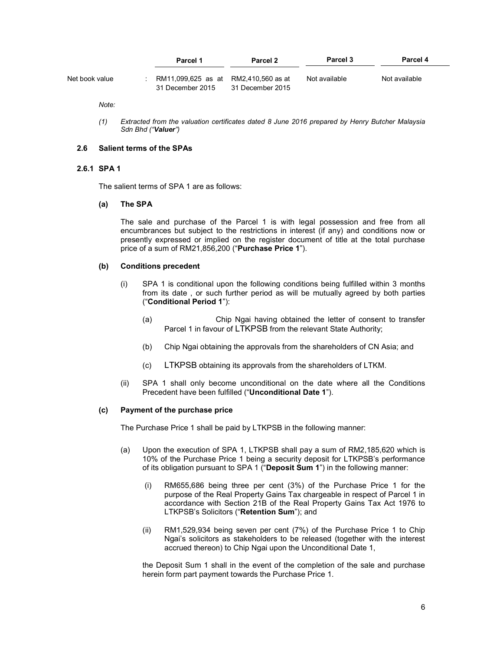|                | Parcel 1                                                 | Parcel 2         | Parcel 3      | Parcel 4      |
|----------------|----------------------------------------------------------|------------------|---------------|---------------|
| Net book value | RM11.099.625 as at RM2.410.560 as at<br>31 December 2015 | 31 December 2015 | Not available | Not available |

Note:

(1) Extracted from the valuation certificates dated 8 June 2016 prepared by Henry Butcher Malaysia Sdn Bhd ("Valuer")

#### 2.6 Salient terms of the SPAs

### 2.6.1 SPA 1

The salient terms of SPA 1 are as follows:

### (a) The SPA

The sale and purchase of the Parcel 1 is with legal possession and free from all encumbrances but subject to the restrictions in interest (if any) and conditions now or presently expressed or implied on the register document of title at the total purchase price of a sum of RM21,856,200 ("Purchase Price 1").

#### (b) Conditions precedent

- (i) SPA 1 is conditional upon the following conditions being fulfilled within 3 months from its date , or such further period as will be mutually agreed by both parties ("Conditional Period 1"):
	- (a) Chip Ngai having obtained the letter of consent to transfer Parcel 1 in favour of LTKPSB from the relevant State Authority;
	- (b) Chip Ngai obtaining the approvals from the shareholders of CN Asia; and
	- (c) LTKPSB obtaining its approvals from the shareholders of LTKM.
- (ii) SPA 1 shall only become unconditional on the date where all the Conditions Precedent have been fulfilled ("Unconditional Date 1").

#### (c) Payment of the purchase price

The Purchase Price 1 shall be paid by LTKPSB in the following manner:

- (a) Upon the execution of SPA 1, LTKPSB shall pay a sum of RM2,185,620 which is 10% of the Purchase Price 1 being a security deposit for LTKPSB's performance of its obligation pursuant to SPA 1 ("Deposit Sum 1") in the following manner:
	- (i) RM655,686 being three per cent (3%) of the Purchase Price 1 for the purpose of the Real Property Gains Tax chargeable in respect of Parcel 1 in accordance with Section 21B of the Real Property Gains Tax Act 1976 to LTKPSB's Solicitors ("Retention Sum"); and
	- (ii) RM1,529,934 being seven per cent (7%) of the Purchase Price 1 to Chip Ngai's solicitors as stakeholders to be released (together with the interest accrued thereon) to Chip Ngai upon the Unconditional Date 1,

the Deposit Sum 1 shall in the event of the completion of the sale and purchase herein form part payment towards the Purchase Price 1.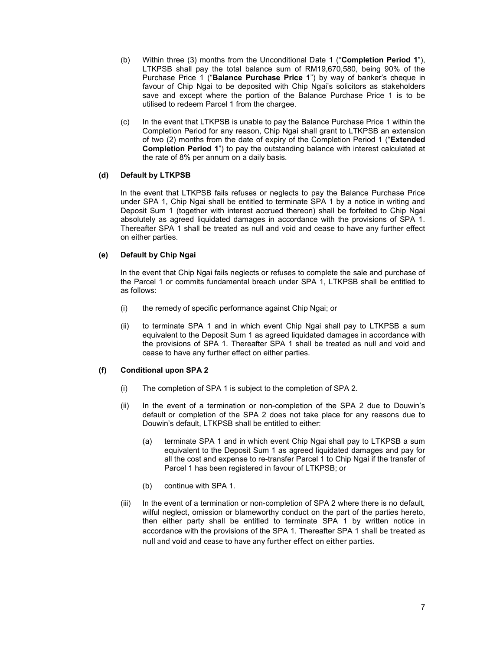- (b) Within three (3) months from the Unconditional Date 1 ("Completion Period 1"), LTKPSB shall pay the total balance sum of RM19,670,580, being 90% of the Purchase Price 1 ("Balance Purchase Price 1") by way of banker's cheque in favour of Chip Ngai to be deposited with Chip Ngai's solicitors as stakeholders save and except where the portion of the Balance Purchase Price 1 is to be utilised to redeem Parcel 1 from the chargee.
- (c) In the event that LTKPSB is unable to pay the Balance Purchase Price 1 within the Completion Period for any reason, Chip Ngai shall grant to LTKPSB an extension of two (2) months from the date of expiry of the Completion Period 1 ("Extended Completion Period 1") to pay the outstanding balance with interest calculated at the rate of 8% per annum on a daily basis.

### (d) Default by LTKPSB

 In the event that LTKPSB fails refuses or neglects to pay the Balance Purchase Price under SPA 1, Chip Ngai shall be entitled to terminate SPA 1 by a notice in writing and Deposit Sum 1 (together with interest accrued thereon) shall be forfeited to Chip Ngai absolutely as agreed liquidated damages in accordance with the provisions of SPA 1. Thereafter SPA 1 shall be treated as null and void and cease to have any further effect on either parties.

### (e) Default by Chip Ngai

 In the event that Chip Ngai fails neglects or refuses to complete the sale and purchase of the Parcel 1 or commits fundamental breach under SPA 1, LTKPSB shall be entitled to as follows:

- (i) the remedy of specific performance against Chip Ngai; or
- (ii) to terminate SPA 1 and in which event Chip Ngai shall pay to LTKPSB a sum equivalent to the Deposit Sum 1 as agreed liquidated damages in accordance with the provisions of SPA 1. Thereafter SPA 1 shall be treated as null and void and cease to have any further effect on either parties.

# (f) Conditional upon SPA 2

- (i) The completion of SPA 1 is subject to the completion of SPA 2.
- (ii) In the event of a termination or non-completion of the SPA 2 due to Douwin's default or completion of the SPA 2 does not take place for any reasons due to Douwin's default, LTKPSB shall be entitled to either:
	- (a) terminate SPA 1 and in which event Chip Ngai shall pay to LTKPSB a sum equivalent to the Deposit Sum 1 as agreed liquidated damages and pay for all the cost and expense to re-transfer Parcel 1 to Chip Ngai if the transfer of Parcel 1 has been registered in favour of LTKPSB; or
	- (b) continue with SPA 1.
- (iii) In the event of a termination or non-completion of SPA 2 where there is no default, wilful neglect, omission or blameworthy conduct on the part of the parties hereto, then either party shall be entitled to terminate SPA 1 by written notice in accordance with the provisions of the SPA 1. Thereafter SPA 1 shall be treated as null and void and cease to have any further effect on either parties.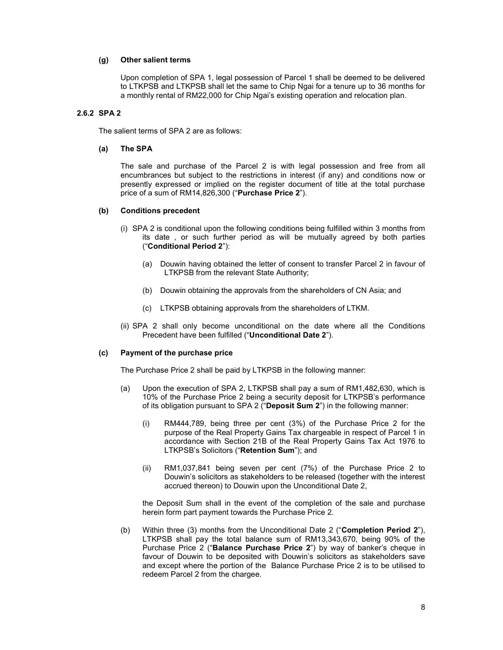### (g) Other salient terms

Upon completion of SPA 1, legal possession of Parcel 1 shall be deemed to be delivered to LTKPSB and LTKPSB shall let the same to Chip Ngai for a tenure up to 36 months for a monthly rental of RM22,000 for Chip Ngai's existing operation and relocation plan.

## 2.6.2 SPA 2

The salient terms of SPA 2 are as follows:

### (a) The SPA

 The sale and purchase of the Parcel 2 is with legal possession and free from all encumbrances but subject to the restrictions in interest (if any) and conditions now or presently expressed or implied on the register document of title at the total purchase price of a sum of RM14,826,300 ("Purchase Price 2").

#### (b) Conditions precedent

- (i) SPA 2 is conditional upon the following conditions being fulfilled within 3 months from its date , or such further period as will be mutually agreed by both parties ("Conditional Period 2"):
	- (a) Douwin having obtained the letter of consent to transfer Parcel 2 in favour of LTKPSB from the relevant State Authority;
	- (b) Douwin obtaining the approvals from the shareholders of CN Asia; and
	- (c) LTKPSB obtaining approvals from the shareholders of LTKM.
- (ii) SPA 2 shall only become unconditional on the date where all the Conditions Precedent have been fulfilled ("Unconditional Date 2").

### (c) Payment of the purchase price

The Purchase Price 2 shall be paid by LTKPSB in the following manner:

- (a) Upon the execution of SPA 2, LTKPSB shall pay a sum of RM1,482,630, which is 10% of the Purchase Price 2 being a security deposit for LTKPSB's performance of its obligation pursuant to SPA 2 ("Deposit Sum 2") in the following manner:
	- (i) RM444,789, being three per cent (3%) of the Purchase Price 2 for the purpose of the Real Property Gains Tax chargeable in respect of Parcel 1 in accordance with Section 21B of the Real Property Gains Tax Act 1976 to LTKPSB's Solicitors ("Retention Sum"); and
	- (ii) RM1,037,841 being seven per cent (7%) of the Purchase Price 2 to Douwin's solicitors as stakeholders to be released (together with the interest accrued thereon) to Douwin upon the Unconditional Date 2,

the Deposit Sum shall in the event of the completion of the sale and purchase herein form part payment towards the Purchase Price 2.

(b) Within three (3) months from the Unconditional Date 2 ("Completion Period 2"), LTKPSB shall pay the total balance sum of RM13,343,670, being 90% of the Purchase Price 2 ("Balance Purchase Price 2") by way of banker's cheque in favour of Douwin to be deposited with Douwin's solicitors as stakeholders save and except where the portion of the Balance Purchase Price 2 is to be utilised to redeem Parcel 2 from the chargee.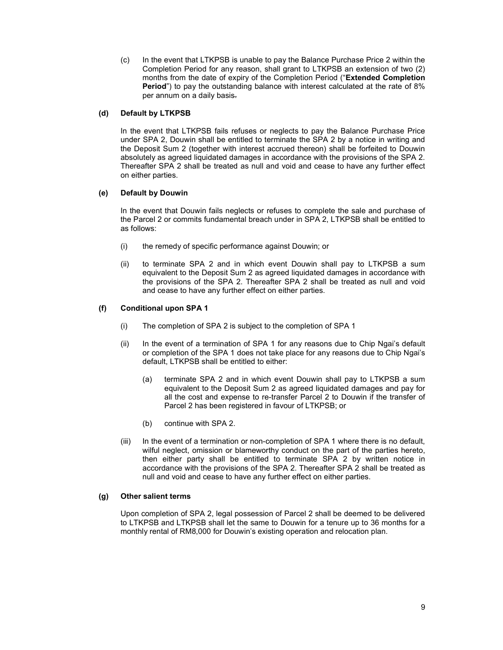(c) In the event that LTKPSB is unable to pay the Balance Purchase Price 2 within the Completion Period for any reason, shall grant to LTKPSB an extension of two (2) months from the date of expiry of the Completion Period ("Extended Completion Period") to pay the outstanding balance with interest calculated at the rate of 8% per annum on a daily basis.

### (d) Default by LTKPSB

 In the event that LTKPSB fails refuses or neglects to pay the Balance Purchase Price under SPA 2, Douwin shall be entitled to terminate the SPA 2 by a notice in writing and the Deposit Sum 2 (together with interest accrued thereon) shall be forfeited to Douwin absolutely as agreed liquidated damages in accordance with the provisions of the SPA 2. Thereafter SPA 2 shall be treated as null and void and cease to have any further effect on either parties.

### (e) Default by Douwin

 In the event that Douwin fails neglects or refuses to complete the sale and purchase of the Parcel 2 or commits fundamental breach under in SPA 2, LTKPSB shall be entitled to as follows:

- (i) the remedy of specific performance against Douwin; or
- (ii) to terminate SPA 2 and in which event Douwin shall pay to LTKPSB a sum equivalent to the Deposit Sum 2 as agreed liquidated damages in accordance with the provisions of the SPA 2. Thereafter SPA 2 shall be treated as null and void and cease to have any further effect on either parties.

# (f) Conditional upon SPA 1

- (i) The completion of SPA 2 is subject to the completion of SPA 1
- (ii) In the event of a termination of SPA 1 for any reasons due to Chip Ngai's default or completion of the SPA 1 does not take place for any reasons due to Chip Ngai's default, LTKPSB shall be entitled to either:
	- (a) terminate SPA 2 and in which event Douwin shall pay to LTKPSB a sum equivalent to the Deposit Sum 2 as agreed liquidated damages and pay for all the cost and expense to re-transfer Parcel 2 to Douwin if the transfer of Parcel 2 has been registered in favour of LTKPSB; or
	- (b) continue with SPA 2.
- (iii) In the event of a termination or non-completion of SPA 1 where there is no default, wilful neglect, omission or blameworthy conduct on the part of the parties hereto, then either party shall be entitled to terminate SPA 2 by written notice in accordance with the provisions of the SPA 2. Thereafter SPA 2 shall be treated as null and void and cease to have any further effect on either parties.

### (g) Other salient terms

Upon completion of SPA 2, legal possession of Parcel 2 shall be deemed to be delivered to LTKPSB and LTKPSB shall let the same to Douwin for a tenure up to 36 months for a monthly rental of RM8,000 for Douwin's existing operation and relocation plan.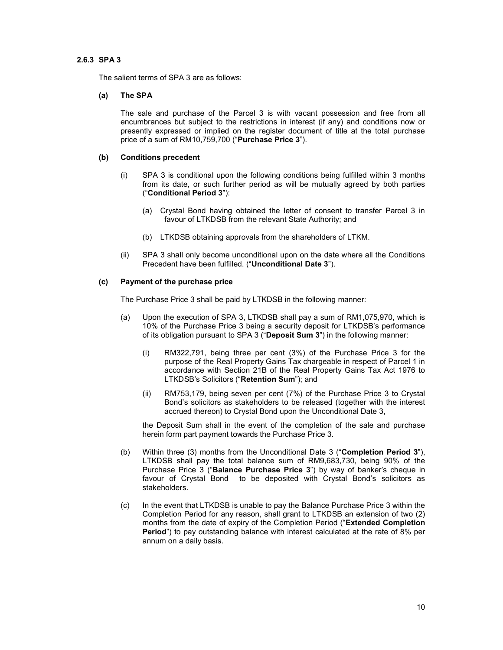### 2.6.3 SPA 3

The salient terms of SPA 3 are as follows:

### (a) The SPA

The sale and purchase of the Parcel 3 is with vacant possession and free from all encumbrances but subject to the restrictions in interest (if any) and conditions now or presently expressed or implied on the register document of title at the total purchase price of a sum of RM10,759,700 ("Purchase Price 3").

#### (b) Conditions precedent

- (i) SPA 3 is conditional upon the following conditions being fulfilled within 3 months from its date, or such further period as will be mutually agreed by both parties ("Conditional Period 3"):
	- (a) Crystal Bond having obtained the letter of consent to transfer Parcel 3 in favour of LTKDSB from the relevant State Authority; and
	- (b) LTKDSB obtaining approvals from the shareholders of LTKM.
- (ii) SPA 3 shall only become unconditional upon on the date where all the Conditions Precedent have been fulfilled. ("Unconditional Date 3").

### (c) Payment of the purchase price

The Purchase Price 3 shall be paid by LTKDSB in the following manner:

- (a) Upon the execution of SPA 3, LTKDSB shall pay a sum of RM1,075,970, which is 10% of the Purchase Price 3 being a security deposit for LTKDSB's performance of its obligation pursuant to SPA 3 ("Deposit Sum 3") in the following manner:
	- (i) RM322,791, being three per cent (3%) of the Purchase Price 3 for the purpose of the Real Property Gains Tax chargeable in respect of Parcel 1 in accordance with Section 21B of the Real Property Gains Tax Act 1976 to LTKDSB's Solicitors ("Retention Sum"); and
	- (ii) RM753,179, being seven per cent (7%) of the Purchase Price 3 to Crystal Bond's solicitors as stakeholders to be released (together with the interest accrued thereon) to Crystal Bond upon the Unconditional Date 3,

the Deposit Sum shall in the event of the completion of the sale and purchase herein form part payment towards the Purchase Price 3.

- (b) Within three (3) months from the Unconditional Date 3 ("Completion Period 3"), LTKDSB shall pay the total balance sum of RM9,683,730, being 90% of the Purchase Price 3 ("Balance Purchase Price 3") by way of banker's cheque in favour of Crystal Bond to be deposited with Crystal Bond's solicitors as stakeholders.
- (c) In the event that LTKDSB is unable to pay the Balance Purchase Price 3 within the Completion Period for any reason, shall grant to LTKDSB an extension of two (2) months from the date of expiry of the Completion Period ("Extended Completion Period") to pay outstanding balance with interest calculated at the rate of 8% per annum on a daily basis.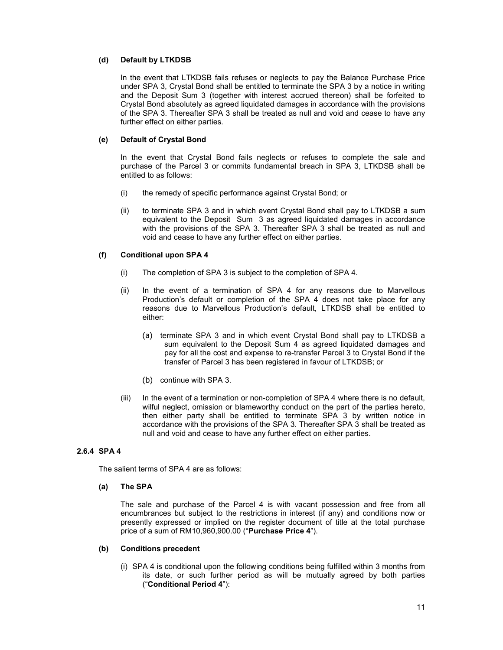### (d) Default by LTKDSB

In the event that LTKDSB fails refuses or neglects to pay the Balance Purchase Price under SPA 3, Crystal Bond shall be entitled to terminate the SPA 3 by a notice in writing and the Deposit Sum 3 (together with interest accrued thereon) shall be forfeited to Crystal Bond absolutely as agreed liquidated damages in accordance with the provisions of the SPA 3. Thereafter SPA 3 shall be treated as null and void and cease to have any further effect on either parties.

### (e) Default of Crystal Bond

In the event that Crystal Bond fails neglects or refuses to complete the sale and purchase of the Parcel 3 or commits fundamental breach in SPA 3, LTKDSB shall be entitled to as follows:

- (i) the remedy of specific performance against Crystal Bond; or
- (ii) to terminate SPA 3 and in which event Crystal Bond shall pay to LTKDSB a sum equivalent to the Deposit Sum 3 as agreed liquidated damages in accordance with the provisions of the SPA 3. Thereafter SPA 3 shall be treated as null and void and cease to have any further effect on either parties.

# (f) Conditional upon SPA 4

- (i) The completion of SPA 3 is subject to the completion of SPA 4.
- (ii) In the event of a termination of SPA 4 for any reasons due to Marvellous Production's default or completion of the SPA 4 does not take place for any reasons due to Marvellous Production's default, LTKDSB shall be entitled to either:
	- (a) terminate SPA 3 and in which event Crystal Bond shall pay to LTKDSB a sum equivalent to the Deposit Sum 4 as agreed liquidated damages and pay for all the cost and expense to re-transfer Parcel 3 to Crystal Bond if the transfer of Parcel 3 has been registered in favour of LTKDSB; or
	- (b) continue with SPA 3.
- (iii) In the event of a termination or non-completion of SPA 4 where there is no default, wilful neglect, omission or blameworthy conduct on the part of the parties hereto, then either party shall be entitled to terminate SPA 3 by written notice in accordance with the provisions of the SPA 3. Thereafter SPA 3 shall be treated as null and void and cease to have any further effect on either parties.

# 2.6.4 SPA 4

The salient terms of SPA 4 are as follows:

### (a) The SPA

The sale and purchase of the Parcel 4 is with vacant possession and free from all encumbrances but subject to the restrictions in interest (if any) and conditions now or presently expressed or implied on the register document of title at the total purchase price of a sum of RM10,960,900.00 ("Purchase Price 4").

### (b) Conditions precedent

(i) SPA 4 is conditional upon the following conditions being fulfilled within 3 months from its date, or such further period as will be mutually agreed by both parties ("Conditional Period 4"):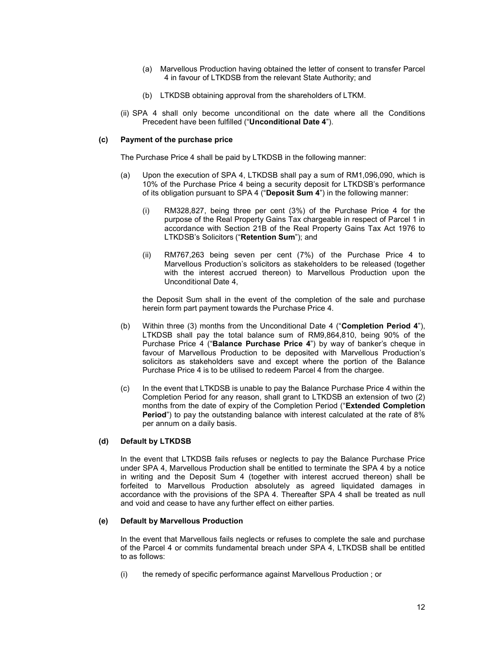- (a) Marvellous Production having obtained the letter of consent to transfer Parcel 4 in favour of LTKDSB from the relevant State Authority; and
- (b) LTKDSB obtaining approval from the shareholders of LTKM.
- (ii) SPA 4 shall only become unconditional on the date where all the Conditions Precedent have been fulfilled ("Unconditional Date 4").

### (c) Payment of the purchase price

The Purchase Price 4 shall be paid by LTKDSB in the following manner:

- (a) Upon the execution of SPA 4, LTKDSB shall pay a sum of RM1,096,090, which is 10% of the Purchase Price 4 being a security deposit for LTKDSB's performance of its obligation pursuant to SPA 4 ("Deposit Sum 4") in the following manner:
	- (i) RM328,827, being three per cent (3%) of the Purchase Price 4 for the purpose of the Real Property Gains Tax chargeable in respect of Parcel 1 in accordance with Section 21B of the Real Property Gains Tax Act 1976 to LTKDSB's Solicitors ("Retention Sum"); and
	- (ii) RM767,263 being seven per cent (7%) of the Purchase Price 4 to Marvellous Production's solicitors as stakeholders to be released (together with the interest accrued thereon) to Marvellous Production upon the Unconditional Date 4,

the Deposit Sum shall in the event of the completion of the sale and purchase herein form part payment towards the Purchase Price 4.

- (b) Within three (3) months from the Unconditional Date 4 ("Completion Period 4"), LTKDSB shall pay the total balance sum of RM9,864,810, being 90% of the Purchase Price 4 ("Balance Purchase Price 4") by way of banker's cheque in favour of Marvellous Production to be deposited with Marvellous Production's solicitors as stakeholders save and except where the portion of the Balance Purchase Price 4 is to be utilised to redeem Parcel 4 from the chargee.
- (c) In the event that LTKDSB is unable to pay the Balance Purchase Price 4 within the Completion Period for any reason, shall grant to LTKDSB an extension of two (2) months from the date of expiry of the Completion Period ("Extended Completion Period") to pay the outstanding balance with interest calculated at the rate of 8% per annum on a daily basis.

#### (d) Default by LTKDSB

In the event that LTKDSB fails refuses or neglects to pay the Balance Purchase Price under SPA 4, Marvellous Production shall be entitled to terminate the SPA 4 by a notice in writing and the Deposit Sum 4 (together with interest accrued thereon) shall be forfeited to Marvellous Production absolutely as agreed liquidated damages in accordance with the provisions of the SPA 4. Thereafter SPA 4 shall be treated as null and void and cease to have any further effect on either parties.

#### (e) Default by Marvellous Production

In the event that Marvellous fails neglects or refuses to complete the sale and purchase of the Parcel 4 or commits fundamental breach under SPA 4, LTKDSB shall be entitled to as follows:

(i) the remedy of specific performance against Marvellous Production ; or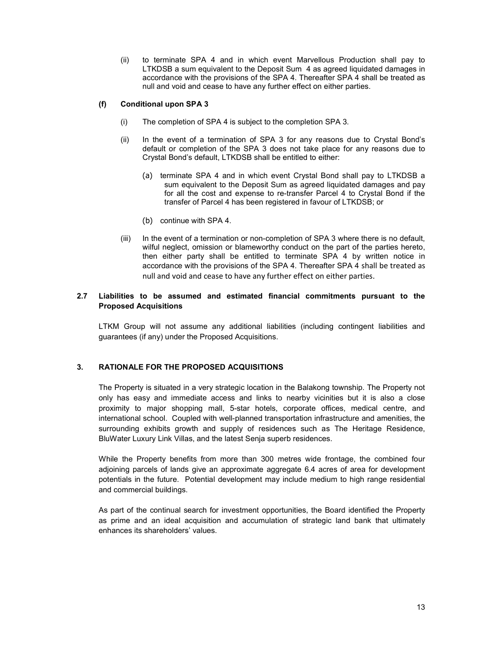(ii) to terminate SPA 4 and in which event Marvellous Production shall pay to LTKDSB a sum equivalent to the Deposit Sum 4 as agreed liquidated damages in accordance with the provisions of the SPA 4. Thereafter SPA 4 shall be treated as null and void and cease to have any further effect on either parties.

# (f) Conditional upon SPA 3

- (i) The completion of SPA 4 is subject to the completion SPA 3.
- (ii) In the event of a termination of SPA 3 for any reasons due to Crystal Bond's default or completion of the SPA 3 does not take place for any reasons due to Crystal Bond's default, LTKDSB shall be entitled to either:
	- (a) terminate SPA 4 and in which event Crystal Bond shall pay to LTKDSB a sum equivalent to the Deposit Sum as agreed liquidated damages and pay for all the cost and expense to re-transfer Parcel 4 to Crystal Bond if the transfer of Parcel 4 has been registered in favour of LTKDSB; or
	- (b) continue with SPA 4.
- (iii) In the event of a termination or non-completion of SPA 3 where there is no default, wilful neglect, omission or blameworthy conduct on the part of the parties hereto, then either party shall be entitled to terminate SPA 4 by written notice in accordance with the provisions of the SPA 4. Thereafter SPA 4 shall be treated as null and void and cease to have any further effect on either parties.

# 2.7 Liabilities to be assumed and estimated financial commitments pursuant to the Proposed Acquisitions

LTKM Group will not assume any additional liabilities (including contingent liabilities and guarantees (if any) under the Proposed Acquisitions.

# 3. RATIONALE FOR THE PROPOSED ACQUISITIONS

The Property is situated in a very strategic location in the Balakong township. The Property not only has easy and immediate access and links to nearby vicinities but it is also a close proximity to major shopping mall, 5-star hotels, corporate offices, medical centre, and international school. Coupled with well-planned transportation infrastructure and amenities, the surrounding exhibits growth and supply of residences such as The Heritage Residence, BluWater Luxury Link Villas, and the latest Senja superb residences.

While the Property benefits from more than 300 metres wide frontage, the combined four adjoining parcels of lands give an approximate aggregate 6.4 acres of area for development potentials in the future. Potential development may include medium to high range residential and commercial buildings.

As part of the continual search for investment opportunities, the Board identified the Property as prime and an ideal acquisition and accumulation of strategic land bank that ultimately enhances its shareholders' values.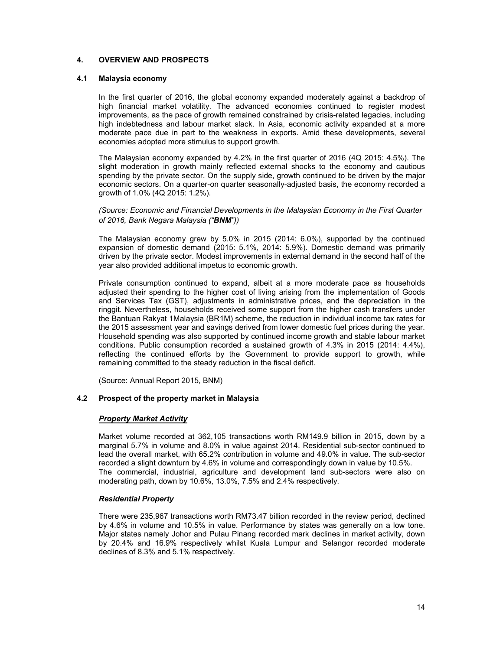### 4. OVERVIEW AND PROSPECTS

### 4.1 Malaysia economy

In the first quarter of 2016, the global economy expanded moderately against a backdrop of high financial market volatility. The advanced economies continued to register modest improvements, as the pace of growth remained constrained by crisis-related legacies, including high indebtedness and labour market slack. In Asia, economic activity expanded at a more moderate pace due in part to the weakness in exports. Amid these developments, several economies adopted more stimulus to support growth.

The Malaysian economy expanded by 4.2% in the first quarter of 2016 (4Q 2015: 4.5%). The slight moderation in growth mainly reflected external shocks to the economy and cautious spending by the private sector. On the supply side, growth continued to be driven by the major economic sectors. On a quarter-on quarter seasonally-adjusted basis, the economy recorded a growth of 1.0% (4Q 2015: 1.2%).

(Source: Economic and Financial Developments in the Malaysian Economy in the First Quarter of 2016, Bank Negara Malaysia ("BNM"))

The Malaysian economy grew by 5.0% in 2015 (2014: 6.0%), supported by the continued expansion of domestic demand (2015: 5.1%, 2014: 5.9%). Domestic demand was primarily driven by the private sector. Modest improvements in external demand in the second half of the year also provided additional impetus to economic growth.

Private consumption continued to expand, albeit at a more moderate pace as households adjusted their spending to the higher cost of living arising from the implementation of Goods and Services Tax (GST), adjustments in administrative prices, and the depreciation in the ringgit. Nevertheless, households received some support from the higher cash transfers under the Bantuan Rakyat 1Malaysia (BR1M) scheme, the reduction in individual income tax rates for the 2015 assessment year and savings derived from lower domestic fuel prices during the year. Household spending was also supported by continued income growth and stable labour market conditions. Public consumption recorded a sustained growth of 4.3% in 2015 (2014: 4.4%), reflecting the continued efforts by the Government to provide support to growth, while remaining committed to the steady reduction in the fiscal deficit.

(Source: Annual Report 2015, BNM)

### 4.2 Prospect of the property market in Malaysia

### Property Market Activity

Market volume recorded at 362,105 transactions worth RM149.9 billion in 2015, down by a marginal 5.7% in volume and 8.0% in value against 2014. Residential sub-sector continued to lead the overall market, with 65.2% contribution in volume and 49.0% in value. The sub-sector recorded a slight downturn by 4.6% in volume and correspondingly down in value by 10.5%. The commercial, industrial, agriculture and development land sub-sectors were also on moderating path, down by 10.6%, 13.0%, 7.5% and 2.4% respectively.

#### Residential Property

There were 235,967 transactions worth RM73.47 billion recorded in the review period, declined by 4.6% in volume and 10.5% in value. Performance by states was generally on a low tone. Major states namely Johor and Pulau Pinang recorded mark declines in market activity, down by 20.4% and 16.9% respectively whilst Kuala Lumpur and Selangor recorded moderate declines of 8.3% and 5.1% respectively.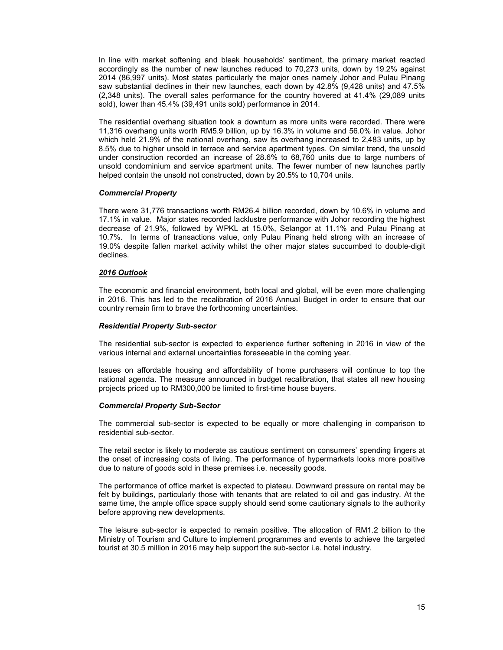In line with market softening and bleak households' sentiment, the primary market reacted accordingly as the number of new launches reduced to 70,273 units, down by 19.2% against 2014 (86,997 units). Most states particularly the major ones namely Johor and Pulau Pinang saw substantial declines in their new launches, each down by 42.8% (9,428 units) and 47.5% (2,348 units). The overall sales performance for the country hovered at 41.4% (29,089 units sold), lower than 45.4% (39,491 units sold) performance in 2014.

The residential overhang situation took a downturn as more units were recorded. There were 11,316 overhang units worth RM5.9 billion, up by 16.3% in volume and 56.0% in value. Johor which held 21.9% of the national overhang, saw its overhang increased to 2,483 units, up by 8.5% due to higher unsold in terrace and service apartment types. On similar trend, the unsold under construction recorded an increase of 28.6% to 68,760 units due to large numbers of unsold condominium and service apartment units. The fewer number of new launches partly helped contain the unsold not constructed, down by 20.5% to 10,704 units.

#### Commercial Property

There were 31,776 transactions worth RM26.4 billion recorded, down by 10.6% in volume and 17.1% in value. Major states recorded lacklustre performance with Johor recording the highest decrease of 21.9%, followed by WPKL at 15.0%, Selangor at 11.1% and Pulau Pinang at 10.7%. In terms of transactions value, only Pulau Pinang held strong with an increase of 19.0% despite fallen market activity whilst the other major states succumbed to double-digit declines.

#### 2016 Outlook

The economic and financial environment, both local and global, will be even more challenging in 2016. This has led to the recalibration of 2016 Annual Budget in order to ensure that our country remain firm to brave the forthcoming uncertainties.

#### Residential Property Sub-sector

The residential sub-sector is expected to experience further softening in 2016 in view of the various internal and external uncertainties foreseeable in the coming year.

Issues on affordable housing and affordability of home purchasers will continue to top the national agenda. The measure announced in budget recalibration, that states all new housing projects priced up to RM300,000 be limited to first-time house buyers.

## Commercial Property Sub-Sector

The commercial sub-sector is expected to be equally or more challenging in comparison to residential sub-sector.

The retail sector is likely to moderate as cautious sentiment on consumers' spending lingers at the onset of increasing costs of living. The performance of hypermarkets looks more positive due to nature of goods sold in these premises i.e. necessity goods.

The performance of office market is expected to plateau. Downward pressure on rental may be felt by buildings, particularly those with tenants that are related to oil and gas industry. At the same time, the ample office space supply should send some cautionary signals to the authority before approving new developments.

The leisure sub-sector is expected to remain positive. The allocation of RM1.2 billion to the Ministry of Tourism and Culture to implement programmes and events to achieve the targeted tourist at 30.5 million in 2016 may help support the sub-sector i.e. hotel industry.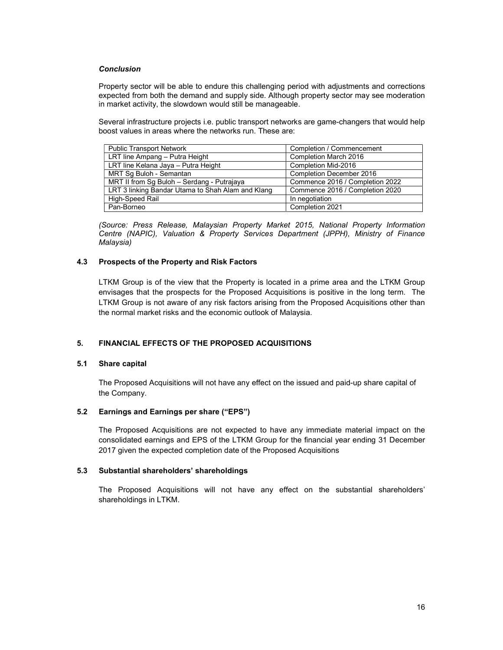### **Conclusion**

Property sector will be able to endure this challenging period with adjustments and corrections expected from both the demand and supply side. Although property sector may see moderation in market activity, the slowdown would still be manageable.

Several infrastructure projects i.e. public transport networks are game-changers that would help boost values in areas where the networks run. These are:

| <b>Public Transport Network</b>                   | Completion / Commencement       |
|---------------------------------------------------|---------------------------------|
| LRT line Ampang - Putra Height                    | Completion March 2016           |
| LRT line Kelana Jaya - Putra Height               | Completion Mid-2016             |
| MRT Sq Buloh - Semantan                           | Completion December 2016        |
| MRT II from Sg Buloh - Serdang - Putrajaya        | Commence 2016 / Completion 2022 |
| LRT 3 linking Bandar Utama to Shah Alam and Klang | Commence 2016 / Completion 2020 |
| High-Speed Rail                                   | In negotiation                  |
| Pan-Borneo                                        | Completion 2021                 |

(Source: Press Release, Malaysian Property Market 2015, National Property Information Centre (NAPIC), Valuation & Property Services Department (JPPH), Ministry of Finance Malaysia)

# 4.3 Prospects of the Property and Risk Factors

 LTKM Group is of the view that the Property is located in a prime area and the LTKM Group envisages that the prospects for the Proposed Acquisitions is positive in the long term. The LTKM Group is not aware of any risk factors arising from the Proposed Acquisitions other than the normal market risks and the economic outlook of Malaysia.

# 5. FINANCIAL EFFECTS OF THE PROPOSED ACQUISITIONS

### 5.1 Share capital

The Proposed Acquisitions will not have any effect on the issued and paid-up share capital of the Company.

### 5.2 Earnings and Earnings per share ("EPS")

The Proposed Acquisitions are not expected to have any immediate material impact on the consolidated earnings and EPS of the LTKM Group for the financial year ending 31 December 2017 given the expected completion date of the Proposed Acquisitions

### 5.3 Substantial shareholders' shareholdings

The Proposed Acquisitions will not have any effect on the substantial shareholders' shareholdings in LTKM.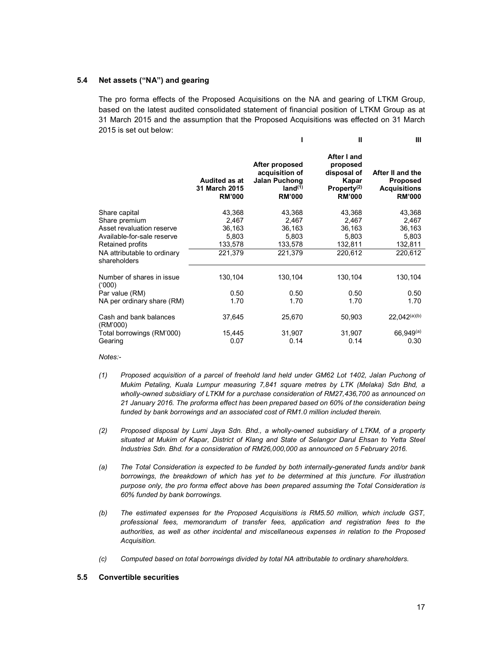### 5.4 Net assets ("NA") and gearing

The pro forma effects of the Proposed Acquisitions on the NA and gearing of LTKM Group, based on the latest audited consolidated statement of financial position of LTKM Group as at 31 March 2015 and the assumption that the Proposed Acquisitions was effected on 31 March 2015 is set out below:

|                                                                                                                                                              |                                                          |                                                                                                  | $\mathbf{I}$                                                                                | Ш                                                                           |
|--------------------------------------------------------------------------------------------------------------------------------------------------------------|----------------------------------------------------------|--------------------------------------------------------------------------------------------------|---------------------------------------------------------------------------------------------|-----------------------------------------------------------------------------|
|                                                                                                                                                              | <b>Audited as at</b><br>31 March 2015<br><b>RM'000</b>   | After proposed<br>acquisition of<br><b>Jalan Puchong</b><br>land <sup>(1)</sup><br><b>RM'000</b> | After I and<br>proposed<br>disposal of<br>Kapar<br>Property <sup>(2)</sup><br><b>RM'000</b> | After II and the<br><b>Proposed</b><br><b>Acquisitions</b><br><b>RM'000</b> |
| Share capital<br>Share premium<br>Asset revaluation reserve<br>Available-for-sale reserve<br>Retained profits<br>NA attributable to ordinary<br>shareholders | 43,368<br>2,467<br>36,163<br>5,803<br>133,578<br>221,379 | 43,368<br>2,467<br>36,163<br>5,803<br>133,578<br>221,379                                         | 43,368<br>2,467<br>36,163<br>5,803<br>132,811<br>220,612                                    | 43,368<br>2,467<br>36,163<br>5,803<br>132,811<br>220,612                    |
| Number of shares in issue<br>(000)<br>Par value (RM)<br>NA per ordinary share (RM)                                                                           | 130,104<br>0.50<br>1.70                                  | 130,104<br>0.50<br>1.70                                                                          | 130,104<br>0.50<br>1.70                                                                     | 130,104<br>0.50<br>1.70                                                     |
| Cash and bank balances<br>(RM'000)<br>Total borrowings (RM'000)<br>Gearing                                                                                   | 37,645<br>15,445<br>0.07                                 | 25,670<br>31,907<br>0.14                                                                         | 50,903<br>31,907<br>0.14                                                                    | $22,042^{(a)(b)}$<br>$66,949^{(a)}$<br>0.30                                 |

#### Notes:-

- (1) Proposed acquisition of a parcel of freehold land held under GM62 Lot 1402, Jalan Puchong of Mukim Petaling, Kuala Lumpur measuring 7,841 square metres by LTK (Melaka) Sdn Bhd, a wholly-owned subsidiary of LTKM for a purchase consideration of RM27,436,700 as announced on 21 January 2016. The proforma effect has been prepared based on 60% of the consideration being funded by bank borrowings and an associated cost of RM1.0 million included therein.
- (2) Proposed disposal by Lumi Jaya Sdn. Bhd., a wholly-owned subsidiary of LTKM, of a property situated at Mukim of Kapar, District of Klang and State of Selangor Darul Ehsan to Yetta Steel Industries Sdn. Bhd. for a consideration of RM26,000,000 as announced on 5 February 2016.
- (a) The Total Consideration is expected to be funded by both internally-generated funds and/or bank borrowings, the breakdown of which has yet to be determined at this juncture. For illustration purpose only, the pro forma effect above has been prepared assuming the Total Consideration is 60% funded by bank borrowings.
- (b) The estimated expenses for the Proposed Acquisitions is RM5.50 million, which include GST, professional fees, memorandum of transfer fees, application and registration fees to the authorities, as well as other incidental and miscellaneous expenses in relation to the Proposed Acquisition.
- (c) Computed based on total borrowings divided by total NA attributable to ordinary shareholders.

#### 5.5 Convertible securities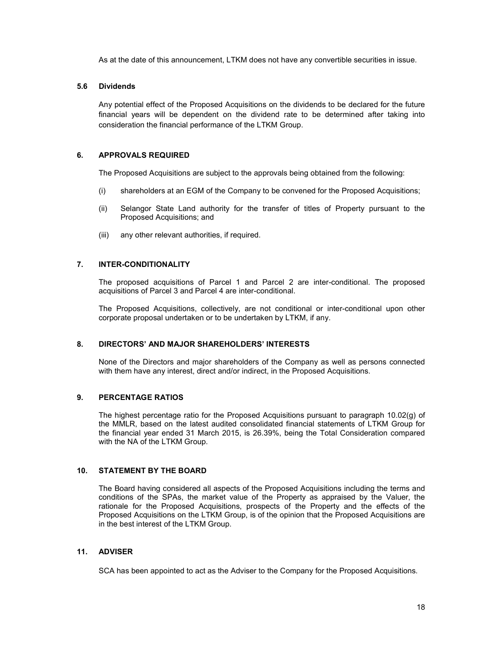As at the date of this announcement, LTKM does not have any convertible securities in issue.

### 5.6 Dividends

Any potential effect of the Proposed Acquisitions on the dividends to be declared for the future financial years will be dependent on the dividend rate to be determined after taking into consideration the financial performance of the LTKM Group.

### 6. APPROVALS REQUIRED

The Proposed Acquisitions are subject to the approvals being obtained from the following:

- (i) shareholders at an EGM of the Company to be convened for the Proposed Acquisitions;
- (ii) Selangor State Land authority for the transfer of titles of Property pursuant to the Proposed Acquisitions; and
- (iii) any other relevant authorities, if required.

### 7. INTER-CONDITIONALITY

The proposed acquisitions of Parcel 1 and Parcel 2 are inter-conditional. The proposed acquisitions of Parcel 3 and Parcel 4 are inter-conditional.

The Proposed Acquisitions, collectively, are not conditional or inter-conditional upon other corporate proposal undertaken or to be undertaken by LTKM, if any.

### 8. DIRECTORS' AND MAJOR SHAREHOLDERS' INTERESTS

None of the Directors and major shareholders of the Company as well as persons connected with them have any interest, direct and/or indirect, in the Proposed Acquisitions.

# 9. PERCENTAGE RATIOS

The highest percentage ratio for the Proposed Acquisitions pursuant to paragraph 10.02(g) of the MMLR, based on the latest audited consolidated financial statements of LTKM Group for the financial year ended 31 March 2015, is 26.39%, being the Total Consideration compared with the NA of the LTKM Group.

### 10. STATEMENT BY THE BOARD

The Board having considered all aspects of the Proposed Acquisitions including the terms and conditions of the SPAs, the market value of the Property as appraised by the Valuer, the rationale for the Proposed Acquisitions, prospects of the Property and the effects of the Proposed Acquisitions on the LTKM Group, is of the opinion that the Proposed Acquisitions are in the best interest of the LTKM Group.

## 11. ADVISER

SCA has been appointed to act as the Adviser to the Company for the Proposed Acquisitions.